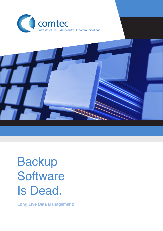



# Backup **Software** Is Dead.

**Long Live Data Management!**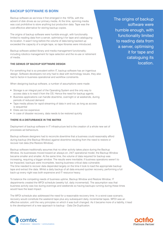# **BACKUP SOTFWARE IS BORN**

Backup software as we know it first emerged in the 1970s, with the advent of disk drives as our primary media. At the time, spinning media was cost prohibitive to store anything but production data. Tape was the cost-effective alternative for storing backup copies.

The origins of backup software were humble enough, with functionality limited to reading data from a server, optimising it for tape and cataloguing its location. It wasn't long before the volume of data being backed up exceeded the capacity of a single tape, so tape libraries were introduced.

Backup software added library and media management functionality; including robotics management for tape selection and the re-use or retirement of media.

## **THE GENIUS OF BACKUP SOFTWARE DESIGN**

For something that is so prevalent within IT, backup software has an ingenious design. Software developers not only had to deal with technology issues, they also had to factor-in business operational and workflow constraints.

When designing backup software, a number of assumptions were made:

- Storage is an integral part of the Operating System and the only way to access data is to read it from the OS. Hence the need for backup agents.
- Business applications can handle downtime, overnight or at weekends, during periods of reduced demand
- Tape media allows for rapid streaming of data in and out, as long as access is sequential
- Disks are too expensive
- In case of disaster recovery, data needs to be restored quickly

## **THERE IS A DISTURBANCE IN THE MATRIX**

Deployment of backup software in IT infrastructure led to the creation of a whole new set of processes ad behaviours.

Backup software designers had to reconcile downtime that a business could reasonably afford during backup (the Backup Window) against downtime resulting from the need to restore or recover lost data (the Restore Window).

Backup software traditionally assumes that no other activity takes place during the Backup Window. As businesses moved toward an always-on, 24/7 operational model, the Backup Window became smaller and smaller. At the same time, the volume of data required for backup was increasing, requiring a bigger window. The results were inevitable; if business operations weren't to be impacted, backups were incomplete, leaving business critical data vulnerable. The time needed to recover data depended largely on the time it took to load the appropriate backup tape and extract the data. Whilst a daily backup of all data ensured quicker recovery, performing a full back-up every night was both expensive and IT resource heavy.

To balance the competing needs of business uptime, Backup Window and Restore Window, IT departments created the WFDI schedule (weekly full, daily incremental). The assumption was that business activity was low during evenings and weekends so having backups running during these times would have the least impact.

The WFDI schedule also addressed the need for a reasonable recovery time. In a worst-case scenario, recovery would constitute the weekend tape plus any subsequent daily, incremental tapes. WFDI was an effective solution, until the very principles on which it was built changed. As it became more of a liability, it lead to the development of a new approach to backup – Data De-Duplication.



The origins of backup software were humble enough, with functionality limited to reading data from a server, optimising it for tape and cataloguing its location.

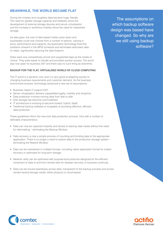# **MEANWHILE, THE WORLD BECAME FLAT**

During the nineties and noughties data became huge; literally. The need for greater storage capacity and reliability drove the development of external storage devices and server virtualisation and the increase in workforce mobility drove the need for networked storage.

As data grew, the cost of disk-based media came down and businesses could now choose from a number of options, varying in price, performance and capacity. De-duplication technology fixed the problems inherent in the WFDI schedule and eliminated redundant data on disks, significantly reducing the data footprint.

Disks were now competitively priced and supplanted tape as the media of choice. They were easier to handle and provided quicker access. The world was now open for business 24/7 and there was no such thing as downtime.

## **BACKUP FOR THE FLAT, VIRTUALISED WORLD OF CLOUD COMPUTING**

The IT world is a dynamic one; and it is very good at adapting quickly to changing business requirements and customer demand. As the business environment evolved, technology advanced a new set of assumptions:

- Business needs IT support 24/7
- Server virtualisation delivers unparalleled agility, mobility and simplicity
- Data protection involves moving data from disk to disk
- Disk storage has become commoditised
- IT architecture is evolving to become hosted, hybrid, SaaS
- Traditional backup software is incapable of providing effective, efficient data protection

These guidelines inform the new-look data protection process. One with a number of definable characteristics:

- Data can now be captured instantly and stored on backup disk media without the need for reformatting – eliminating the Backup Window.
- Data recovery is now a simple process of mounting and binding data to the appropriate application. There is no longer a need to restore data to the production storage system – eliminating the Restore Window.
- Data can be maintained in multiple formats, including native application format for instant recovery or optimised for long-term storage.
- Network utility can be optimised with purpose-built protocols designed for the efficient movement of data to and from remote sites for disaster recovery or business continuity.
- Data can be moved seamlessly across sites; transparent to the backup process and across vendor-neutral storage media, either physical or cloud-based.

The assumptions on which backup software design was based have changed. So why are we still using backup software?



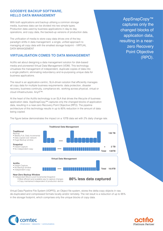# **GOODBYE BACKUP SOFTWARE, HELLO DATA MANAGEMENT**

With both applications and backup utilising a common storage media, business data can be divided into two simple types. Production data used by business applications in day-to day operations, and copy data, the backed-up versions of production data.

The unification of media to store copy data drives one of the key paradigm shifts in data management: a single, unified approach to managing all copy data with the smallest storage footprint – VIRTUAL DATA MANAGEMENT

# **VIRTUALISATION COMES TO DATA MANAGEMENT**

Actifio set about designing a data management solution for disk-based media and pioneered Virtual Data Management (VDM). This technology virtualises the management of independent, duplicate copies of data into a single platform; eliminating redundancy and re-purposing unique data for business applications.

The result is an application-centric, SLA-driven solution that efficiently manages all copy data for multiple business requirements: data protection, disaster recovery, business continuity, compliance etc. working across physical, virtual or cloud infrastructures: AnyIT™.

At the heart of the Actifio technology is an SLA that drives the lifecycle of business application data. AppSnapCopy™ captures only the changed blocks of application data, resulting in a near-zero Recovery Point Objective (RPO). The pipeline architecture of this technology results in up to 80% reduction in the amount of data being copied.

The figure below demonstrates the impact on a 10TB data set with 2% daily change rate.



Virtual Data Pipeline File System (VDPFS), an Object file system, stores the delta-copy objects in raw, de-duplicated and compressed formats locally and/or remotely. The net result is a reduction of up to 95% in the storage footprint, which comprises only the unique blocks of copy data.



AppSnapCopy™ captures only the changed blocks of application data, resulting in a nearzero Recovery Point Objective (RPO).

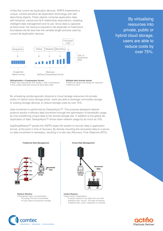Unlike the current de-duplication devices, VDPFS implements a unique, context-sensitive de-duplication technology with selfdescribing objects. These objects comprise application data with temporal, casual and SLA relationship associations, enabling intelligent data management and re-use. Since data is captured at block level, the resource required to de-duplicate on fixed block boundaries are 6x less than the variable length process used by current de-duplication devices.



By virtualising resources into private, public or hybrid cloud storage, users are able to reduce costs by over 75%.



- Base copy reduced by 50% dedup + 50% Compression
- Only unique data kept across all secondary data
- **Multiple data formats stored**
- Native for speed and dedup for reduction • Define by SLA

By virtualising vender-agnostic physical or cloud storage resources into private, public or hybrid cloud storage pools, users are able to leverage commodity storage, or existing storage devices, to reduce storage costs by over 75%.

Data movement is performed by DedupAsync™. This purpose-designed network protocol results in efficient data movement through the optimisation of bandwidth usage by only transferring unique data to the remote storage site. In addition to the global deduplication of data, DedupAsync™ drives down network usage by as much as 70%.

AppSnapRestore™ parses the VDPFS object file system to recover data in application format, at the point in time of recovery. By directly mounting the recovered data to a server, no data movement is necessary; resulting in a new zero Recovery Time Objective (RTO).



**Restore Window**

- Sequential copy of incrementals
	- Overlay Full with incrementals
	- Copy data to production storage



**Instant Restore** • App-Centric Snaprestore

- 
- Instant restore of any data from any time • Restore with "mount". No data movement
- Restore files, email, mailboxes or volumes



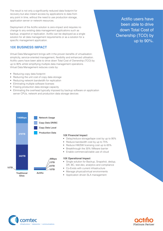The result is not only a significantly reduced data footprint for recovery but also instant access by applications to data from any point in time, without the need to use production storage, application server or network resources.

Deployment of the Actifio solution is zero-impact and requires no change to any existing data management applications such as backup, snapshot or replication. Actifio can be deployed as a single solution for all data management requirements or as a solution for a specific management application.

# **10X BUSINESS IMPACT**

Virtual Data Management brings with it the proven benefits of virtualisation: simplicity, service-oriented management, flexibility and enhanced utilisation. Actifio users have been able to drive down Total Cost of Ownership (TCO) by up to 90% whilst simplifying multiple data management operations. Virtual Data Management reduces costs by:

- Reducing copy data footprint
- Reducing the unit cost of copy data storage
- Reducing network bandwidth for replication
- Eliminating multiple software licenses
- Freeing production data storage capacity
- Eliminating the overhead typically imposed by backup software on application server CPUs, network and production data storage devices

# Actifio users have been able to drive down Total Cost of Ownership (TCO) by up to 90%.



## **10X Financial Impact**

- Delay/reduce storage/tape cost by up to 95%
- Reduce bandwidth cost by up to 75%
- Reduce HW/SW licensing cost up to 65%
- Breakthrough the 30% VMware barrier
- Enable commercial/viable use of cloud

## **10X Operational Impact**

- Single solution for Backup, Snapshot, dedup, DR, BC, test-dev, analytics and compliance
- Co-Exists with current infrastructure
- Manage physical/virtual environments
- Application driven SLA management